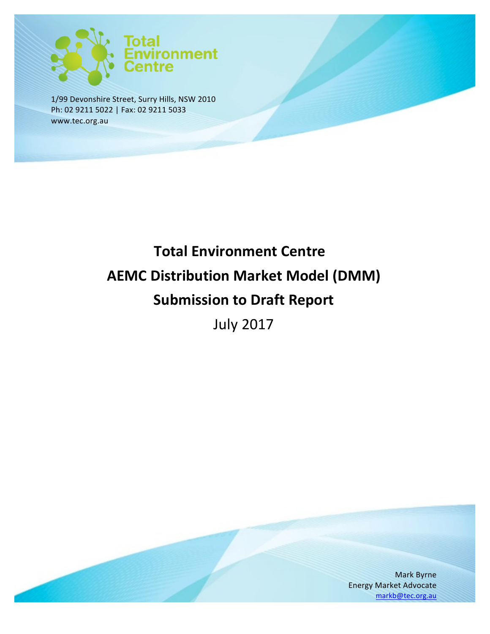

1/99 Devonshire Street, Surry Hills, NSW 2010 Ph: 02 9211 5022 | Fax: 02 9211 5033 www.tec.org.au

# **Total Environment Centre AEMC Distribution Market Model (DMM) Submission to Draft Report**

July 2017

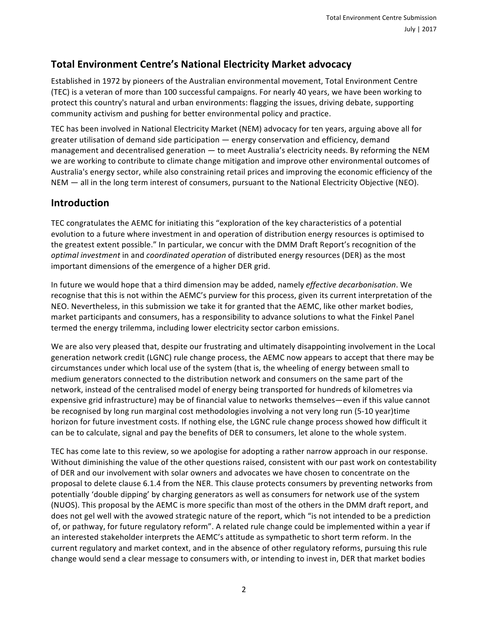## **Total Environment Centre's National Electricity Market advocacy**

Established in 1972 by pioneers of the Australian environmental movement, Total Environment Centre (TEC) is a veteran of more than 100 successful campaigns. For nearly 40 years, we have been working to protect this country's natural and urban environments: flagging the issues, driving debate, supporting community activism and pushing for better environmental policy and practice.

TEC has been involved in National Electricity Market (NEM) advocacy for ten years, arguing above all for greater utilisation of demand side participation — energy conservation and efficiency, demand management and decentralised generation  $-$  to meet Australia's electricity needs. By reforming the NEM we are working to contribute to climate change mitigation and improve other environmental outcomes of Australia's energy sector, while also constraining retail prices and improving the economic efficiency of the NEM — all in the long term interest of consumers, pursuant to the National Electricity Objective (NEO).

## **Introduction**

TEC congratulates the AEMC for initiating this "exploration of the key characteristics of a potential evolution to a future where investment in and operation of distribution energy resources is optimised to the greatest extent possible." In particular, we concur with the DMM Draft Report's recognition of the *optimal investment* in and *coordinated operation* of distributed energy resources (DER) as the most important dimensions of the emergence of a higher DER grid.

In future we would hope that a third dimension may be added, namely *effective decarbonisation*. We recognise that this is not within the AEMC's purview for this process, given its current interpretation of the NEO. Nevertheless, in this submission we take it for granted that the AEMC, like other market bodies, market participants and consumers, has a responsibility to advance solutions to what the Finkel Panel termed the energy trilemma, including lower electricity sector carbon emissions.

We are also very pleased that, despite our frustrating and ultimately disappointing involvement in the Local generation network credit (LGNC) rule change process, the AEMC now appears to accept that there may be circumstances under which local use of the system (that is, the wheeling of energy between small to medium generators connected to the distribution network and consumers on the same part of the network, instead of the centralised model of energy being transported for hundreds of kilometres via expensive grid infrastructure) may be of financial value to networks themselves—even if this value cannot be recognised by long run marginal cost methodologies involving a not very long run (5-10 year)time horizon for future investment costs. If nothing else, the LGNC rule change process showed how difficult it can be to calculate, signal and pay the benefits of DER to consumers, let alone to the whole system.

TEC has come late to this review, so we apologise for adopting a rather narrow approach in our response. Without diminishing the value of the other questions raised, consistent with our past work on contestability of DER and our involvement with solar owners and advocates we have chosen to concentrate on the proposal to delete clause 6.1.4 from the NER. This clause protects consumers by preventing networks from potentially 'double dipping' by charging generators as well as consumers for network use of the system (NUOS). This proposal by the AEMC is more specific than most of the others in the DMM draft report, and does not gel well with the avowed strategic nature of the report, which "is not intended to be a prediction of, or pathway, for future regulatory reform". A related rule change could be implemented within a year if an interested stakeholder interprets the AEMC's attitude as sympathetic to short term reform. In the current regulatory and market context, and in the absence of other regulatory reforms, pursuing this rule change would send a clear message to consumers with, or intending to invest in, DER that market bodies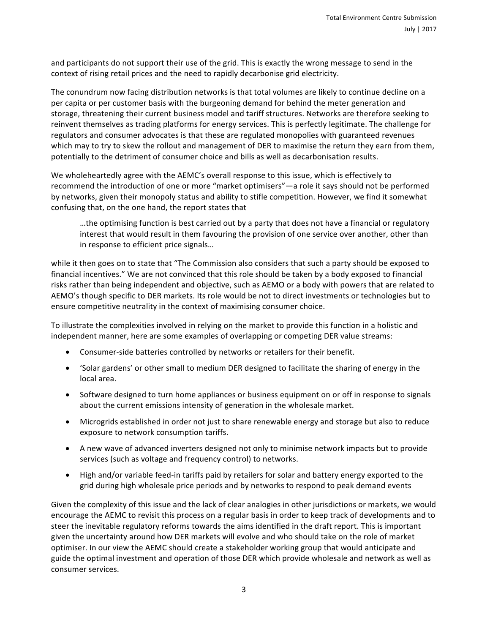and participants do not support their use of the grid. This is exactly the wrong message to send in the context of rising retail prices and the need to rapidly decarbonise grid electricity.

The conundrum now facing distribution networks is that total volumes are likely to continue decline on a per capita or per customer basis with the burgeoning demand for behind the meter generation and storage, threatening their current business model and tariff structures. Networks are therefore seeking to reinvent themselves as trading platforms for energy services. This is perfectly legitimate. The challenge for regulators and consumer advocates is that these are regulated monopolies with guaranteed revenues which may to try to skew the rollout and management of DER to maximise the return they earn from them, potentially to the detriment of consumer choice and bills as well as decarbonisation results.

We wholeheartedly agree with the AEMC's overall response to this issue, which is effectively to recommend the introduction of one or more "market optimisers"—a role it says should not be performed by networks, given their monopoly status and ability to stifle competition. However, we find it somewhat confusing that, on the one hand, the report states that

...the optimising function is best carried out by a party that does not have a financial or regulatory interest that would result in them favouring the provision of one service over another, other than in response to efficient price signals...

while it then goes on to state that "The Commission also considers that such a party should be exposed to financial incentives." We are not convinced that this role should be taken by a body exposed to financial risks rather than being independent and objective, such as AEMO or a body with powers that are related to AEMO's though specific to DER markets. Its role would be not to direct investments or technologies but to ensure competitive neutrality in the context of maximising consumer choice.

To illustrate the complexities involved in relying on the market to provide this function in a holistic and independent manner, here are some examples of overlapping or competing DER value streams:

- Consumer-side batteries controlled by networks or retailers for their benefit.
- Solar gardens' or other small to medium DER designed to facilitate the sharing of energy in the local area.
- Software designed to turn home appliances or business equipment on or off in response to signals about the current emissions intensity of generation in the wholesale market.
- Microgrids established in order not just to share renewable energy and storage but also to reduce exposure to network consumption tariffs.
- A new wave of advanced inverters designed not only to minimise network impacts but to provide services (such as voltage and frequency control) to networks.
- High and/or variable feed-in tariffs paid by retailers for solar and battery energy exported to the grid during high wholesale price periods and by networks to respond to peak demand events

Given the complexity of this issue and the lack of clear analogies in other jurisdictions or markets, we would encourage the AEMC to revisit this process on a regular basis in order to keep track of developments and to steer the inevitable regulatory reforms towards the aims identified in the draft report. This is important given the uncertainty around how DER markets will evolve and who should take on the role of market optimiser. In our view the AEMC should create a stakeholder working group that would anticipate and guide the optimal investment and operation of those DER which provide wholesale and network as well as consumer services.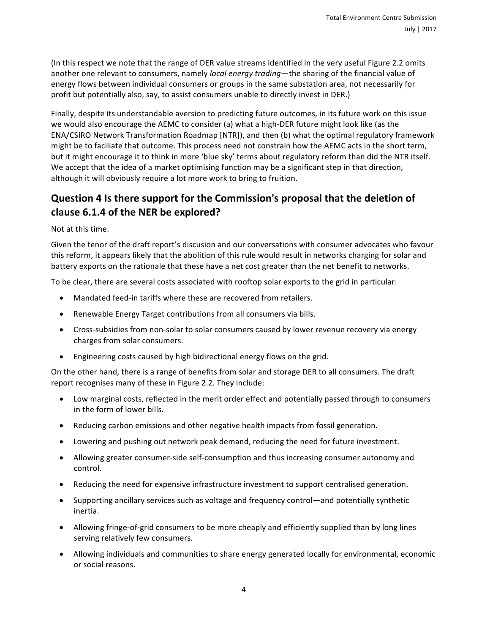(In this respect we note that the range of DER value streams identified in the very useful Figure 2.2 omits another one relevant to consumers, namely *local energy trading*—the sharing of the financial value of energy flows between individual consumers or groups in the same substation area, not necessarily for profit but potentially also, say, to assist consumers unable to directly invest in DER.)

Finally, despite its understandable aversion to predicting future outcomes, in its future work on this issue we would also encourage the AEMC to consider (a) what a high-DER future might look like (as the ENA/CSIRO Network Transformation Roadmap [NTR]), and then (b) what the optimal regulatory framework might be to faciliate that outcome. This process need not constrain how the AEMC acts in the short term, but it might encourage it to think in more 'blue sky' terms about regulatory reform than did the NTR itself. We accept that the idea of a market optimising function may be a significant step in that direction, although it will obviously require a lot more work to bring to fruition.

# **Question 4 Is there support for the Commission's proposal that the deletion of** clause 6.1.4 of the NER be explored?

Not at this time.

Given the tenor of the draft report's discusion and our conversations with consumer advocates who favour this reform, it appears likely that the abolition of this rule would result in networks charging for solar and battery exports on the rationale that these have a net cost greater than the net benefit to networks.

To be clear, there are several costs associated with rooftop solar exports to the grid in particular:

- Mandated feed-in tariffs where these are recovered from retailers.
- Renewable Energy Target contributions from all consumers via bills.
- Cross-subsidies from non-solar to solar consumers caused by lower revenue recovery via energy charges from solar consumers.
- Engineering costs caused by high bidirectional energy flows on the grid.

On the other hand, there is a range of benefits from solar and storage DER to all consumers. The draft report recognises many of these in Figure 2.2. They include:

- Low marginal costs, reflected in the merit order effect and potentially passed through to consumers in the form of lower bills.
- Reducing carbon emissions and other negative health impacts from fossil generation.
- Lowering and pushing out network peak demand, reducing the need for future investment.
- Allowing greater consumer-side self-consumption and thus increasing consumer autonomy and control.
- Reducing the need for expensive infrastructure investment to support centralised generation.
- Supporting ancillary services such as voltage and frequency control—and potentially synthetic inertia.
- Allowing fringe-of-grid consumers to be more cheaply and efficiently supplied than by long lines serving relatively few consumers.
- Allowing individuals and communities to share energy generated locally for environmental, economic or social reasons.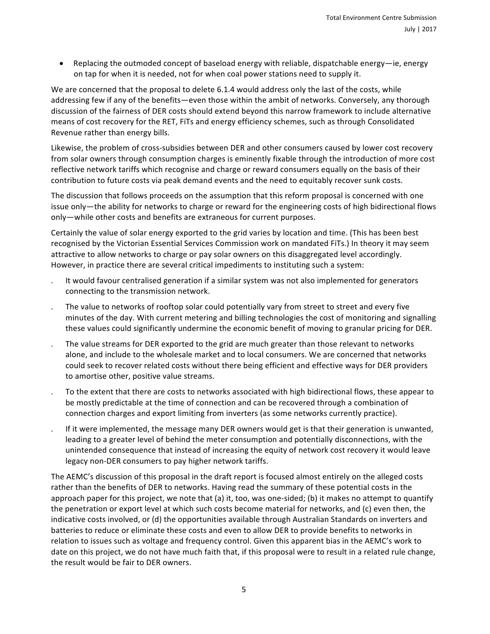• Replacing the outmoded concept of baseload energy with reliable, dispatchable energy—ie, energy on tap for when it is needed, not for when coal power stations need to supply it.

We are concerned that the proposal to delete 6.1.4 would address only the last of the costs, while addressing few if any of the benefits—even those within the ambit of networks. Conversely, any thorough discussion of the fairness of DER costs should extend beyond this narrow framework to include alternative means of cost recovery for the RET, FITs and energy efficiency schemes, such as through Consolidated Revenue rather than energy bills.

Likewise, the problem of cross-subsidies between DER and other consumers caused by lower cost recovery from solar owners through consumption charges is eminently fixable through the introduction of more cost reflective network tariffs which recognise and charge or reward consumers equally on the basis of their contribution to future costs via peak demand events and the need to equitably recover sunk costs.

The discussion that follows proceeds on the assumption that this reform proposal is concerned with one issue only—the ability for networks to charge or reward for the engineering costs of high bidirectional flows only—while other costs and benefits are extraneous for current purposes.

Certainly the value of solar energy exported to the grid varies by location and time. (This has been best recognised by the Victorian Essential Services Commission work on mandated FiTs.) In theory it may seem attractive to allow networks to charge or pay solar owners on this disaggregated level accordingly. However, in practice there are several critical impediments to instituting such a system:

- It would favour centralised generation if a similar system was not also implemented for generators connecting to the transmission network.
- The value to networks of rooftop solar could potentially vary from street to street and every five minutes of the day. With current metering and billing technologies the cost of monitoring and signalling these values could significantly undermine the economic benefit of moving to granular pricing for DER.
- The value streams for DER exported to the grid are much greater than those relevant to networks alone, and include to the wholesale market and to local consumers. We are concerned that networks could seek to recover related costs without there being efficient and effective ways for DER providers to amortise other, positive value streams.
- To the extent that there are costs to networks associated with high bidirectional flows, these appear to be mostly predictable at the time of connection and can be recovered through a combination of connection charges and export limiting from inverters (as some networks currently practice).
- If it were implemented, the message many DER owners would get is that their generation is unwanted, leading to a greater level of behind the meter consumption and potentially disconnections, with the unintended consequence that instead of increasing the equity of network cost recovery it would leave legacy non-DER consumers to pay higher network tariffs.

The AEMC's discussion of this proposal in the draft report is focused almost entirely on the alleged costs rather than the benefits of DER to networks. Having read the summary of these potential costs in the approach paper for this project, we note that (a) it, too, was one-sided; (b) it makes no attempt to quantify the penetration or export level at which such costs become material for networks, and (c) even then, the indicative costs involved, or (d) the opportunities available through Australian Standards on inverters and batteries to reduce or eliminate these costs and even to allow DER to provide benefits to networks in relation to issues such as voltage and frequency control. Given this apparent bias in the AEMC's work to date on this project, we do not have much faith that, if this proposal were to result in a related rule change, the result would be fair to DER owners.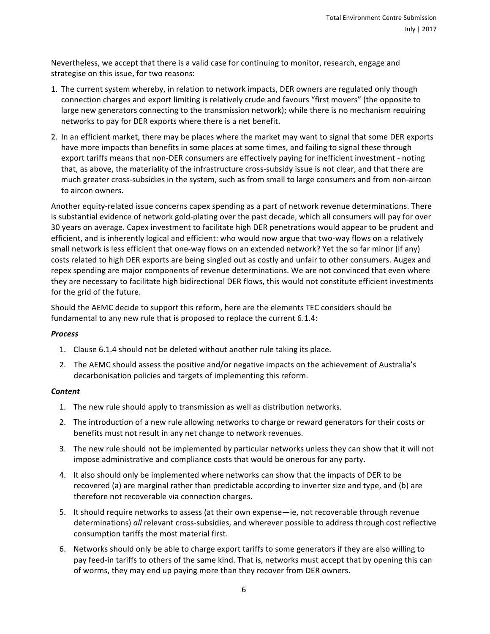Nevertheless, we accept that there is a valid case for continuing to monitor, research, engage and strategise on this issue, for two reasons:

- 1. The current system whereby, in relation to network impacts, DER owners are regulated only though connection charges and export limiting is relatively crude and favours "first movers" (the opposite to large new generators connecting to the transmission network); while there is no mechanism requiring networks to pay for DER exports where there is a net benefit.
- 2. In an efficient market, there may be places where the market may want to signal that some DER exports have more impacts than benefits in some places at some times, and failing to signal these through export tariffs means that non-DER consumers are effectively paying for inefficient investment - noting that, as above, the materiality of the infrastructure cross-subsidy issue is not clear, and that there are much greater cross-subsidies in the system, such as from small to large consumers and from non-aircon to aircon owners.

Another equity-related issue concerns capex spending as a part of network revenue determinations. There is substantial evidence of network gold-plating over the past decade, which all consumers will pay for over 30 years on average. Capex investment to facilitate high DER penetrations would appear to be prudent and efficient, and is inherently logical and efficient: who would now argue that two-way flows on a relatively small network is less efficient that one-way flows on an extended network? Yet the so far minor (if any) costs related to high DER exports are being singled out as costly and unfair to other consumers. Augex and repex spending are major components of revenue determinations. We are not convinced that even where they are necessary to facilitate high bidirectional DER flows, this would not constitute efficient investments for the grid of the future.

Should the AEMC decide to support this reform, here are the elements TEC considers should be fundamental to any new rule that is proposed to replace the current 6.1.4:

#### *Process*

- 1. Clause 6.1.4 should not be deleted without another rule taking its place.
- 2. The AEMC should assess the positive and/or negative impacts on the achievement of Australia's decarbonisation policies and targets of implementing this reform.

#### *Content*

- 1. The new rule should apply to transmission as well as distribution networks.
- 2. The introduction of a new rule allowing networks to charge or reward generators for their costs or benefits must not result in any net change to network revenues.
- 3. The new rule should not be implemented by particular networks unless they can show that it will not impose administrative and compliance costs that would be onerous for any party.
- 4. It also should only be implemented where networks can show that the impacts of DER to be recovered (a) are marginal rather than predictable according to inverter size and type, and (b) are therefore not recoverable via connection charges.
- 5. It should require networks to assess (at their own expense—ie, not recoverable through revenue determinations) all relevant cross-subsidies, and wherever possible to address through cost reflective consumption tariffs the most material first.
- 6. Networks should only be able to charge export tariffs to some generators if they are also willing to pay feed-in tariffs to others of the same kind. That is, networks must accept that by opening this can of worms, they may end up paying more than they recover from DER owners.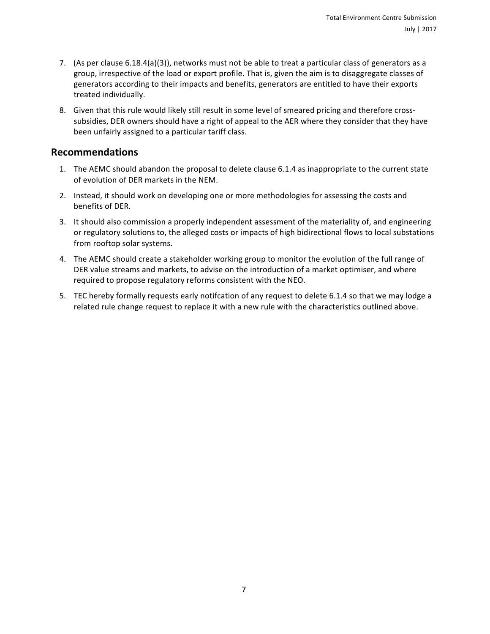- 7. (As per clause  $6.18.4(a)(3)$ ), networks must not be able to treat a particular class of generators as a group, irrespective of the load or export profile. That is, given the aim is to disaggregate classes of generators according to their impacts and benefits, generators are entitled to have their exports treated individually.
- 8. Given that this rule would likely still result in some level of smeared pricing and therefore crosssubsidies, DER owners should have a right of appeal to the AER where they consider that they have been unfairly assigned to a particular tariff class.

### **Recommendations**

- 1. The AEMC should abandon the proposal to delete clause 6.1.4 as inappropriate to the current state of evolution of DER markets in the NEM.
- 2. Instead, it should work on developing one or more methodologies for assessing the costs and benefits of DER.
- 3. It should also commission a properly independent assessment of the materiality of, and engineering or regulatory solutions to, the alleged costs or impacts of high bidirectional flows to local substations from rooftop solar systems.
- 4. The AEMC should create a stakeholder working group to monitor the evolution of the full range of DER value streams and markets, to advise on the introduction of a market optimiser, and where required to propose regulatory reforms consistent with the NEO.
- 5. TEC hereby formally requests early notifcation of any request to delete 6.1.4 so that we may lodge a related rule change request to replace it with a new rule with the characteristics outlined above.